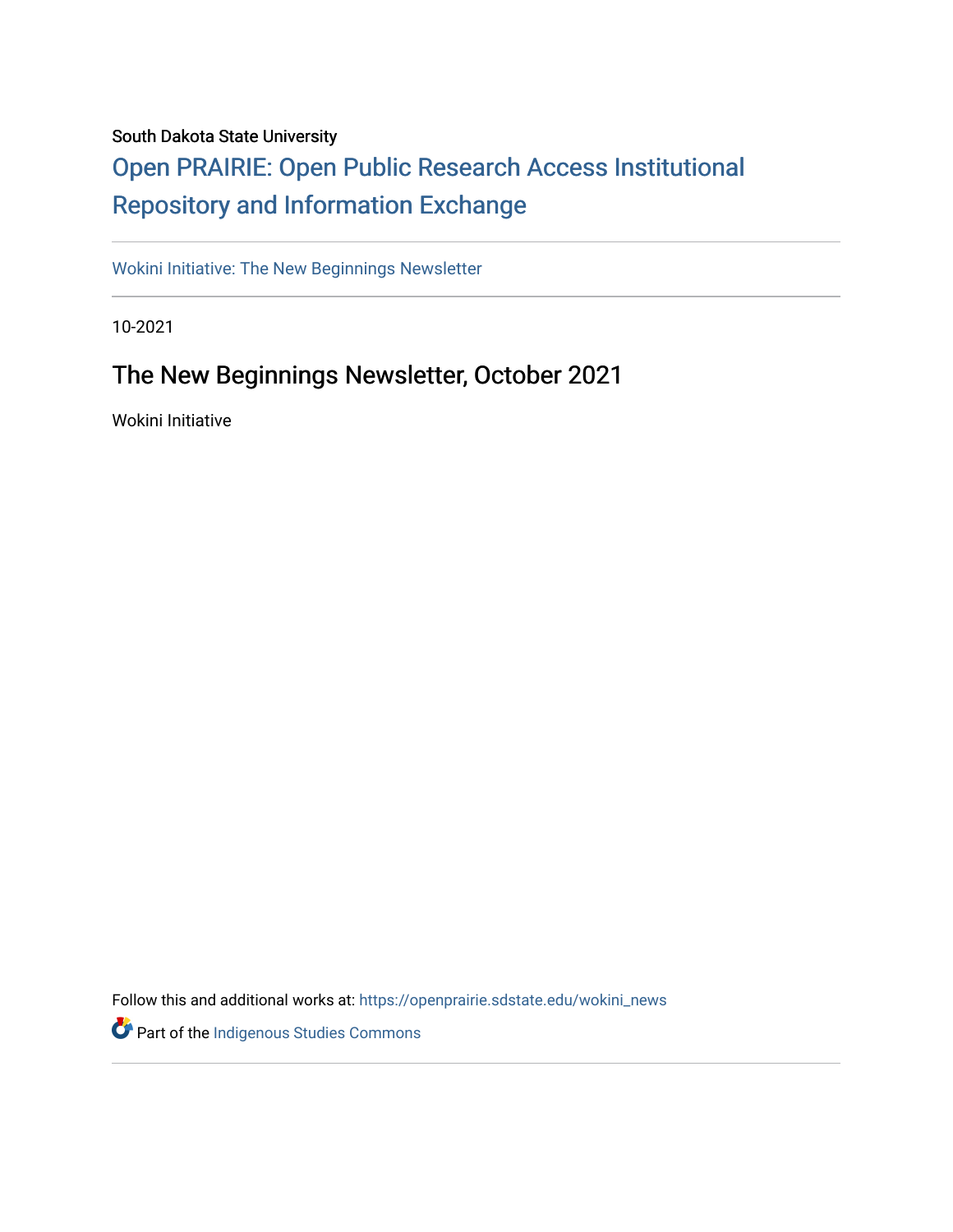#### South Dakota State University

#### [Open PRAIRIE: Open Public Research Access Institutional](https://openprairie.sdstate.edu/)  [Repository and Information Exchange](https://openprairie.sdstate.edu/)

[Wokini Initiative: The New Beginnings Newsletter](https://openprairie.sdstate.edu/wokini_news) 

10-2021

#### The New Beginnings Newsletter, October 2021

Wokini Initiative

Follow this and additional works at: [https://openprairie.sdstate.edu/wokini\\_news](https://openprairie.sdstate.edu/wokini_news?utm_source=openprairie.sdstate.edu%2Fwokini_news%2F18&utm_medium=PDF&utm_campaign=PDFCoverPages) 

Part of the [Indigenous Studies Commons](http://network.bepress.com/hgg/discipline/571?utm_source=openprairie.sdstate.edu%2Fwokini_news%2F18&utm_medium=PDF&utm_campaign=PDFCoverPages)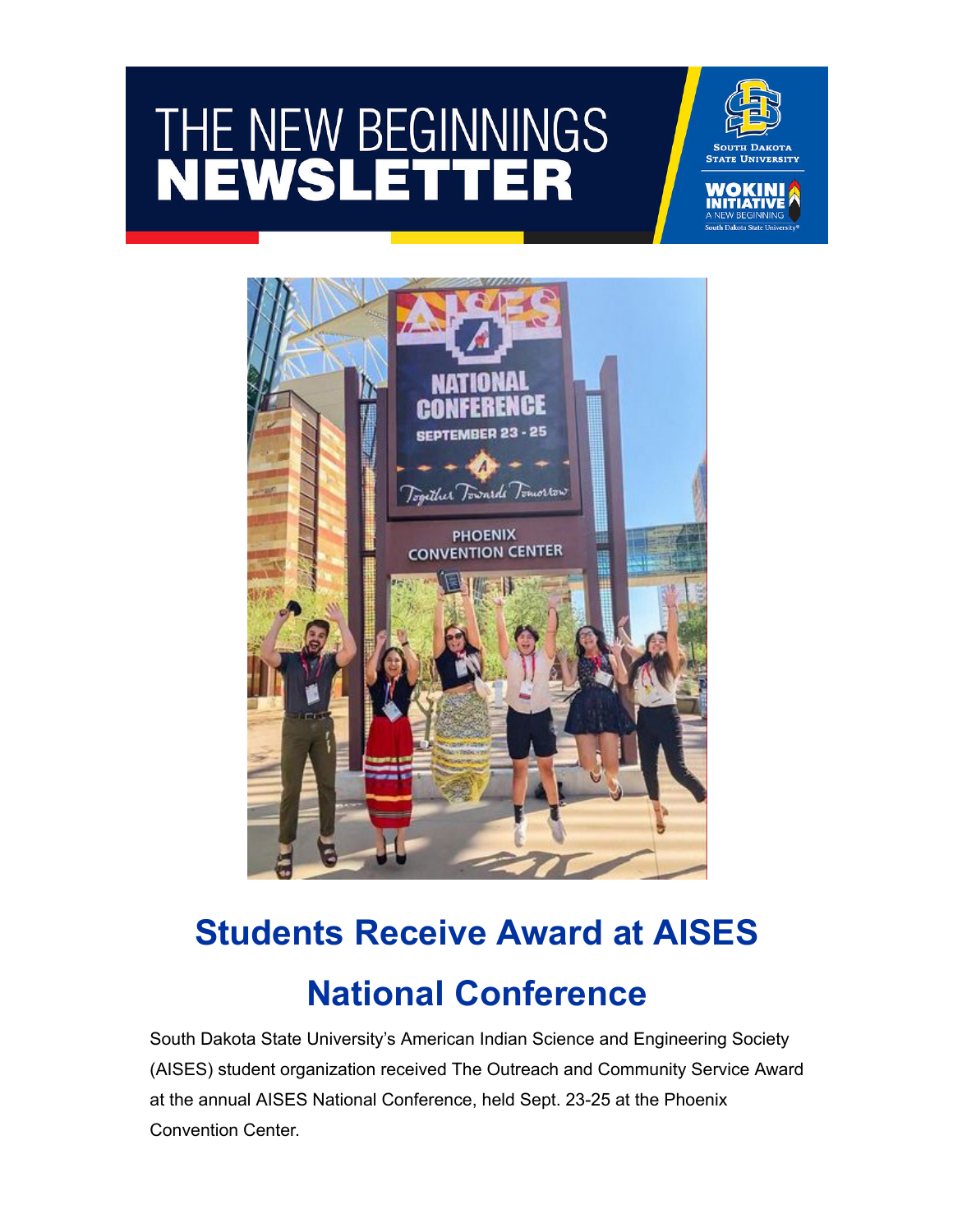# THE NEW BEGINNINGS





## **Students Receive Award at AISES National Conference**

South Dakota State University's American Indian Science and Engineering Society (AISES) student organization received The Outreach and Community Service Award at the annual AISES National Conference, held Sept. 23-25 at the Phoenix Convention Center.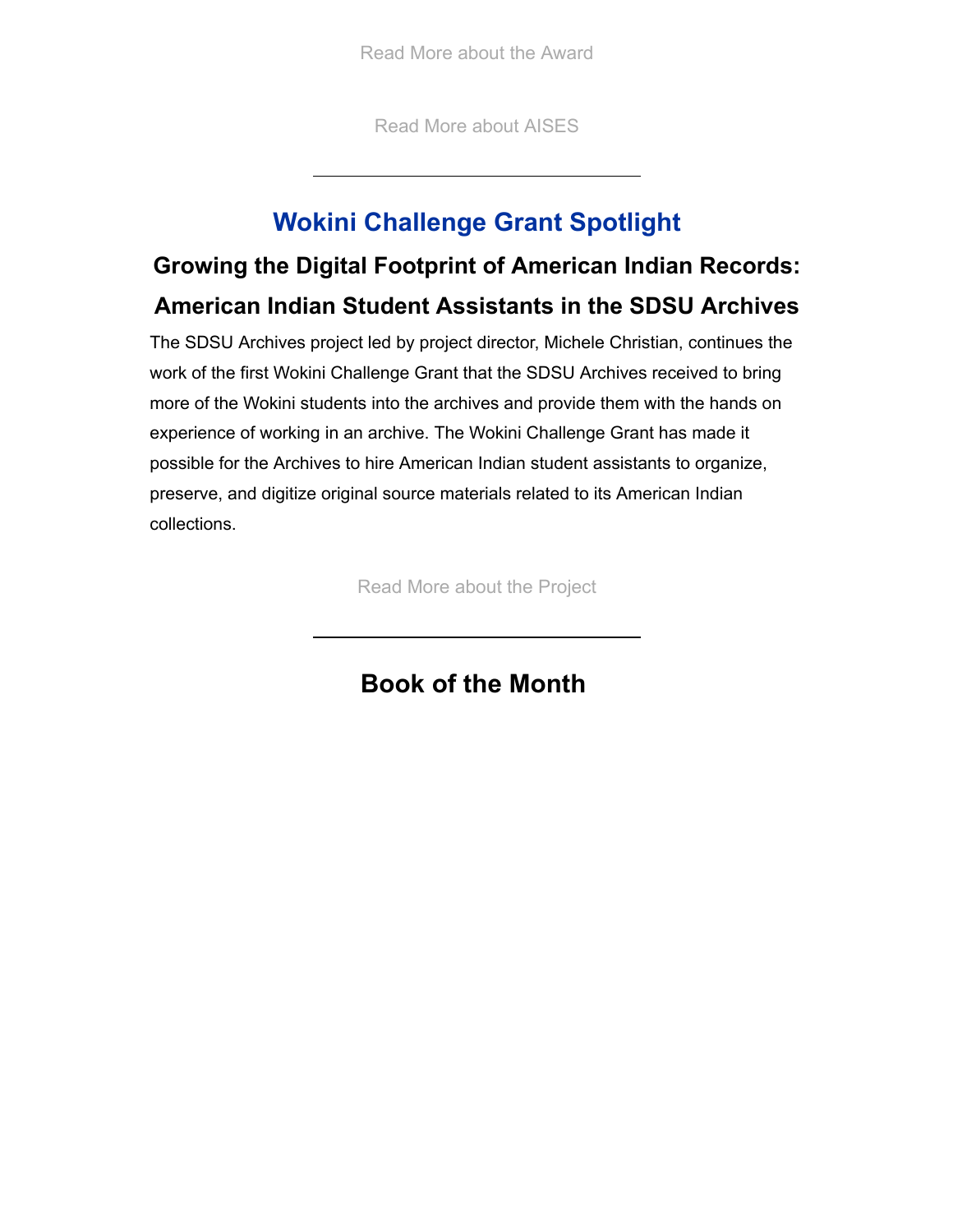[Read More about the Award](https://www.sdstate.edu/news/2021/10/students-receive-award-aises-national-conference?utm_source=hs_email&utm_medium=email&_hsenc=p2ANqtz-8-48fc4MWNxybzf5kXImK1K_z02iSq2mGA_iJ_w5CPFUgve5kzUuG2RCEJ0w2gMuwGQuod)

[Read More about AISES](https://www.sdstate.edu/american-indian-student-center/aises?utm_source=hs_email&utm_medium=email&_hsenc=p2ANqtz-8-48fc4MWNxybzf5kXImK1K_z02iSq2mGA_iJ_w5CPFUgve5kzUuG2RCEJ0w2gMuwGQuod)

#### **Wokini Challenge Grant Spotlight**

#### **Growing the Digital Footprint of American Indian Records: American Indian Student Assistants in the SDSU Archives**

The SDSU Archives project led by project director, Michele Christian, continues the work of the first Wokini Challenge Grant that the SDSU Archives received to bring more of the Wokini students into the archives and provide them with the hands on experience of working in an archive. The Wokini Challenge Grant has made it possible for the Archives to hire American Indian student assistants to organize, preserve, and digitize original source materials related to its American Indian collections.

[Read More about the Project](https://www.sdstate.edu/wokini-initiative/october-2021-growing-digital-footprint-american-indian-records-american-indian?utm_source=hs_email&utm_medium=email&_hsenc=p2ANqtz-8-48fc4MWNxybzf5kXImK1K_z02iSq2mGA_iJ_w5CPFUgve5kzUuG2RCEJ0w2gMuwGQuod)

#### **Book of the Month**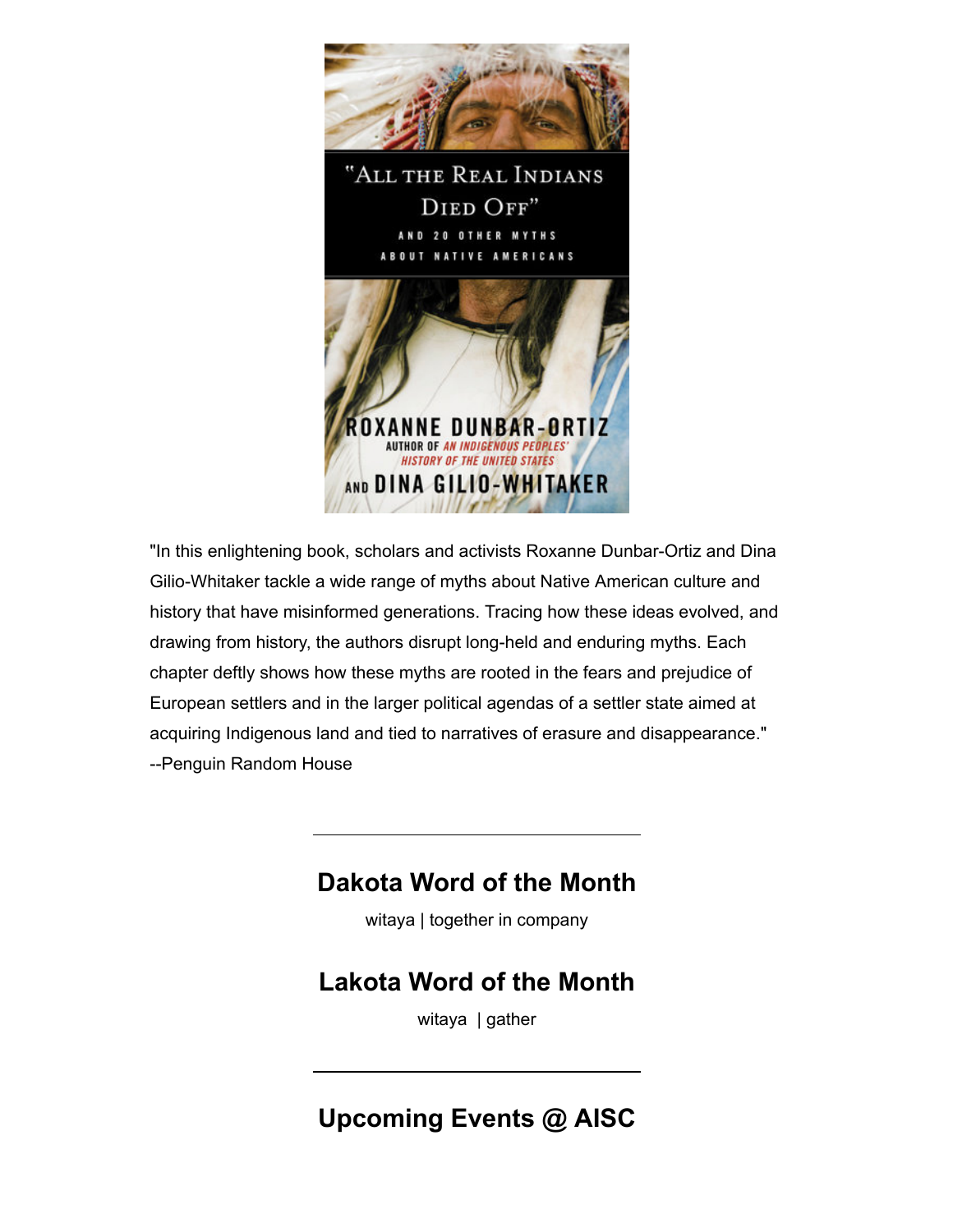

"In this enlightening book, scholars and activists Roxanne Dunbar-Ortiz and Dina Gilio-Whitaker tackle a wide range of myths about Native American culture and history that have misinformed generations. Tracing how these ideas evolved, and drawing from history, the authors disrupt long-held and enduring myths. Each chapter deftly shows how these myths are rooted in the fears and prejudice of European settlers and in the larger political agendas of a settler state aimed at acquiring Indigenous land and tied to narratives of erasure and disappearance." --Penguin Random House

#### **Dakota Word of the Month**

witaya | together in company

#### **Lakota Word of the Month**

witaya | gather

#### **Upcoming Events @ AISC**